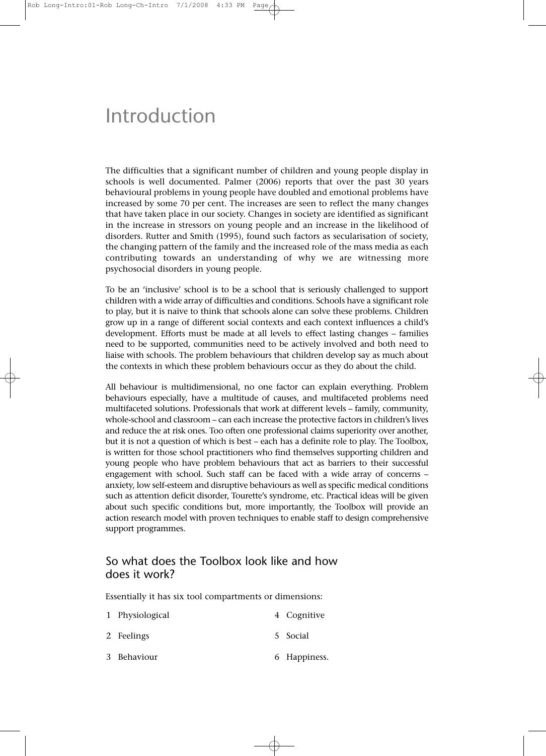# Introduction

The difficulties that a significant number of children and young people display in schools is well documented. Palmer (2006) reports that over the past 30 years behavioural problems in young people have doubled and emotional problems have increased by some 70 per cent. The increases are seen to reflect the many changes that have taken place in our society. Changes in society are identified as significant in the increase in stressors on young people and an increase in the likelihood of disorders. Rutter and Smith (1995), found such factors as secularisation of society, the changing pattern of the family and the increased role of the mass media as each contributing towards an understanding of why we are witnessing more psychosocial disorders in young people.

To be an 'inclusive' school is to be a school that is seriously challenged to support children with a wide array of difficulties and conditions. Schools have a significant role to play, but it is naive to think that schools alone can solve these problems. Children grow up in a range of different social contexts and each context influences a child's development. Efforts must be made at all levels to effect lasting changes – families need to be supported, communities need to be actively involved and both need to liaise with schools. The problem behaviours that children develop say as much about the contexts in which these problem behaviours occur as they do about the child.

All behaviour is multidimensional, no one factor can explain everything. Problem behaviours especially, have a multitude of causes, and multifaceted problems need multifaceted solutions. Professionals that work at different levels – family, community, whole-school and classroom – can each increase the protective factors in children's lives and reduce the at risk ones. Too often one professional claims superiority over another, but it is not a question of which is best – each has a definite role to play. The Toolbox, is written for those school practitioners who find themselves supporting children and young people who have problem behaviours that act as barriers to their successful engagement with school. Such staff can be faced with a wide array of concerns – anxiety, low self-esteem and disruptive behaviours as well as specific medical conditions such as attention deficit disorder, Tourette's syndrome, etc. Practical ideas will be given about such specific conditions but, more importantly, the Toolbox will provide an action research model with proven techniques to enable staff to design comprehensive support programmes.

## So what does the Toolbox look like and how does it work?

Essentially it has six tool compartments or dimensions:

| 1 Physiological | 4 Cognitive  |
|-----------------|--------------|
| 2 Feelings      | 5 Social     |
| 3 Behaviour     | 6 Happiness. |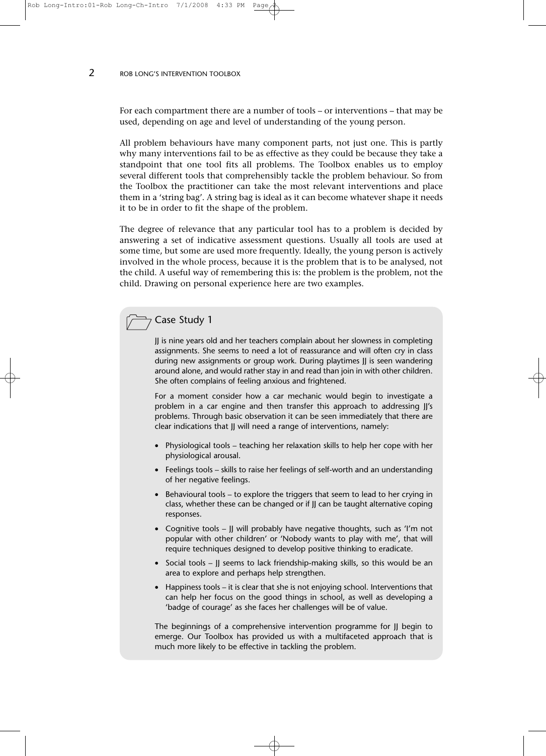#### 2 ROB LONG'S INTERVENTION TOOLBOX

For each compartment there are a number of tools – or interventions – that may be used, depending on age and level of understanding of the young person.

All problem behaviours have many component parts, not just one. This is partly why many interventions fail to be as effective as they could be because they take a standpoint that one tool fits all problems. The Toolbox enables us to employ several different tools that comprehensibly tackle the problem behaviour. So from the Toolbox the practitioner can take the most relevant interventions and place them in a 'string bag'. A string bag is ideal as it can become whatever shape it needs it to be in order to fit the shape of the problem.

The degree of relevance that any particular tool has to a problem is decided by answering a set of indicative assessment questions. Usually all tools are used at some time, but some are used more frequently. Ideally, the young person is actively involved in the whole process, because it is the problem that is to be analysed, not the child. A useful way of remembering this is: the problem is the problem, not the child. Drawing on personal experience here are two examples.

## Case Study 1

JJ is nine years old and her teachers complain about her slowness in completing assignments. She seems to need a lot of reassurance and will often cry in class during new assignments or group work. During playtimes JJ is seen wandering around alone, and would rather stay in and read than join in with other children. She often complains of feeling anxious and frightened.

For a moment consider how a car mechanic would begin to investigate a problem in a car engine and then transfer this approach to addressing JJ's problems. Through basic observation it can be seen immediately that there are clear indications that JJ will need a range of interventions, namely:

- Physiological tools teaching her relaxation skills to help her cope with her physiological arousal.
- Feelings tools skills to raise her feelings of self-worth and an understanding of her negative feelings.
- Behavioural tools to explore the triggers that seem to lead to her crying in class, whether these can be changed or if JJ can be taught alternative coping responses.
- Cognitive tools JJ will probably have negative thoughts, such as 'I'm not popular with other children' or 'Nobody wants to play with me', that will require techniques designed to develop positive thinking to eradicate.
- Social tools JJ seems to lack friendship-making skills, so this would be an area to explore and perhaps help strengthen.
- Happiness tools it is clear that she is not enjoying school. Interventions that can help her focus on the good things in school, as well as developing a 'badge of courage' as she faces her challenges will be of value.

The beginnings of a comprehensive intervention programme for JJ begin to emerge. Our Toolbox has provided us with a multifaceted approach that is much more likely to be effective in tackling the problem.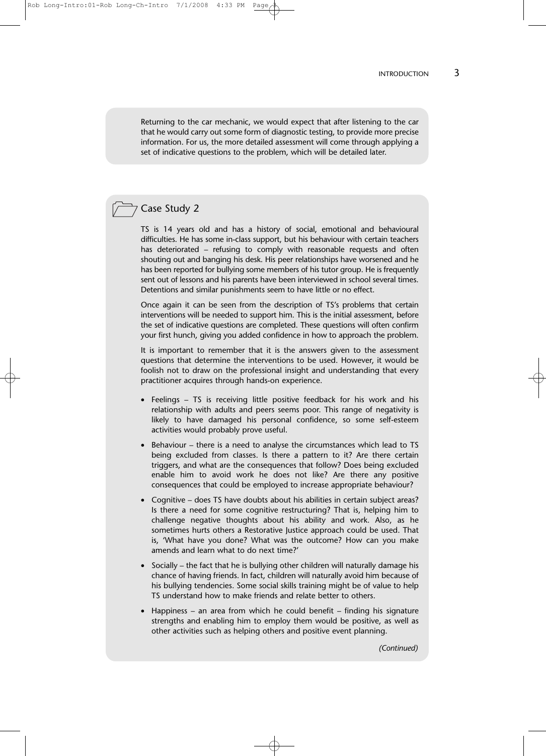Returning to the car mechanic, we would expect that after listening to the car that he would carry out some form of diagnostic testing, to provide more precise information. For us, the more detailed assessment will come through applying a set of indicative questions to the problem, which will be detailed later.

## Case Study 2

TS is 14 years old and has a history of social, emotional and behavioural difficulties. He has some in-class support, but his behaviour with certain teachers has deteriorated – refusing to comply with reasonable requests and often shouting out and banging his desk. His peer relationships have worsened and he has been reported for bullying some members of his tutor group. He is frequently sent out of lessons and his parents have been interviewed in school several times. Detentions and similar punishments seem to have little or no effect.

Once again it can be seen from the description of TS's problems that certain interventions will be needed to support him. This is the initial assessment, before the set of indicative questions are completed. These questions will often confirm your first hunch, giving you added confidence in how to approach the problem.

It is important to remember that it is the answers given to the assessment questions that determine the interventions to be used. However, it would be foolish not to draw on the professional insight and understanding that every practitioner acquires through hands-on experience.

- Feelings TS is receiving little positive feedback for his work and his relationship with adults and peers seems poor. This range of negativity is likely to have damaged his personal confidence, so some self-esteem activities would probably prove useful.
- Behaviour there is a need to analyse the circumstances which lead to TS being excluded from classes. Is there a pattern to it? Are there certain triggers, and what are the consequences that follow? Does being excluded enable him to avoid work he does not like? Are there any positive consequences that could be employed to increase appropriate behaviour?
- Cognitive does TS have doubts about his abilities in certain subject areas? Is there a need for some cognitive restructuring? That is, helping him to challenge negative thoughts about his ability and work. Also, as he sometimes hurts others a Restorative Justice approach could be used. That is, 'What have you done? What was the outcome? How can you make amends and learn what to do next time?'
- Socially the fact that he is bullying other children will naturally damage his chance of having friends. In fact, children will naturally avoid him because of his bullying tendencies. Some social skills training might be of value to help TS understand how to make friends and relate better to others.
- Happiness an area from which he could benefit finding his signature strengths and enabling him to employ them would be positive, as well as other activities such as helping others and positive event planning.

*(Continued)*